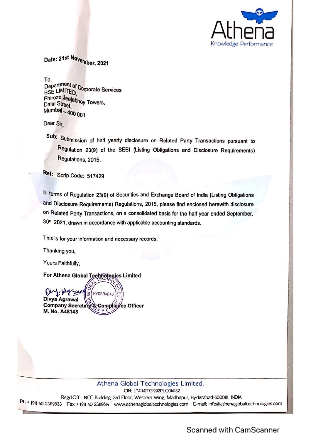

Date: 21st November, 2021

To.

Department of Corporate Services BSE LIMITED phiroze Jeejebhoy Towers, Dalal Street, Mumbai - 400 001

Dear Sir,

Sub: Submission of half yearly disclosure on Related Party Transactions pursuant to Regulation 23(9) of the SEBI (Listing Obligations and Disclosure Requirements) Regulations, 2015.

Ref: Scrip Code: 517429

In terms of Regulation 23(9) of Securities and Exchange Board of India (Listing Obligations and Disclosure Requirements) Regulations, 2015, please find enclosed herewith disclosure on Related Party Transactions, on a consolidated basis for the half year ended September, 30<sup>th</sup> 2021, drawn in accordance with applicable accounting standards.

This is for your information and necessary records.

Thanking you,

Yours Faithfully,

For Athena Global Technologies Limited

Der Daraus **HYDERABAD** Divya Agrawal Company Secretary & Compliance Officer M. No. A48143

Athena Global Technologies Limited. CIN: L74140TG1992PLC014182 Regd.Off: NCC Building, 3rd Floor, Western Wing, Madhapur, Hyderabad-500081. INDIA Ph + (91) 40 23119633 Fax + (91) 40 23119614 www.athenaglobaltechnologies.com E-mail: info@athenaglobaltechnologies.com

Scanned with CamScanner